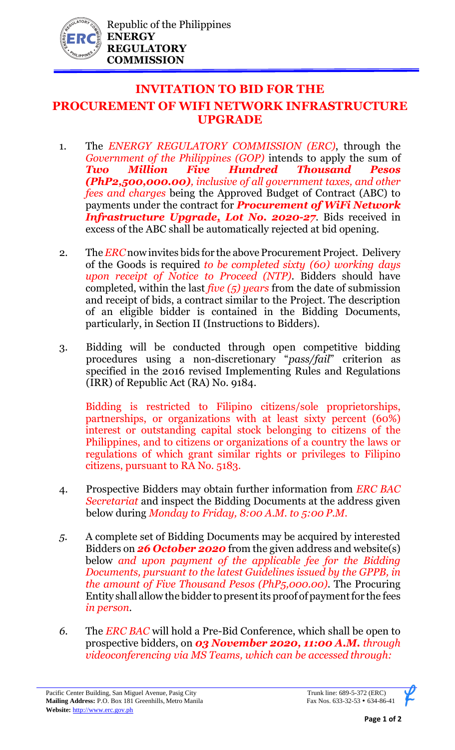

## **INVITATION TO BID FOR THE**

## **PROCUREMENT OF WIFI NETWORK INFRASTRUCTURE UPGRADE**

- 1. The *ENERGY REGULATORY COMMISSION (ERC)*, through the *Government of the Philippines (GOP)* intends to apply the sum of *Two Million Five Hundred Thousand Pesos (PhP2,500,000.00), inclusive of all government taxes, and other fees and charges* being the Approved Budget of Contract (ABC) to payments under the contract for *Procurement of WiFi Network Infrastructure Upgrade, Lot No. 2020-27*. Bids received in excess of the ABC shall be automatically rejected at bid opening.
- 2. The *ERC* now invites bids for the above Procurement Project. Delivery of the Goods is required *to be completed sixty (60) working days upon receipt of Notice to Proceed (NTP)*. Bidders should have completed, within the last *five (5) years* from the date of submission and receipt of bids, a contract similar to the Project. The description of an eligible bidder is contained in the Bidding Documents, particularly, in Section II (Instructions to Bidders).
- 3. Bidding will be conducted through open competitive bidding procedures using a non-discretionary "*pass/fail*" criterion as specified in the 2016 revised Implementing Rules and Regulations (IRR) of Republic Act (RA) No. 9184.

Bidding is restricted to Filipino citizens/sole proprietorships, partnerships, or organizations with at least sixty percent (60%) interest or outstanding capital stock belonging to citizens of the Philippines, and to citizens or organizations of a country the laws or regulations of which grant similar rights or privileges to Filipino citizens, pursuant to RA No. 5183.

- 4. Prospective Bidders may obtain further information from *ERC BAC Secretariat* and inspect the Bidding Documents at the address given below during *Monday to Friday, 8:00 A.M. to 5:00 P.M*.
- *5.* A complete set of Bidding Documents may be acquired by interested Bidders on *26 October 2020* from the given address and website(s) below *and upon payment of the applicable fee for the Bidding Documents, pursuant to the latest Guidelines issued by the GPPB, in the amount of Five Thousand Pesos (PhP5,000.00)*. The Procuring Entity shall allow the bidder to present its proof of payment for the fees *in person.*
- *6.* The *ERC BAC* will hold a Pre-Bid Conference, which shall be open to prospective bidders, on *03 November 2020, 11:00 A.M. through videoconferencing via MS Teams, which can be accessed through:*